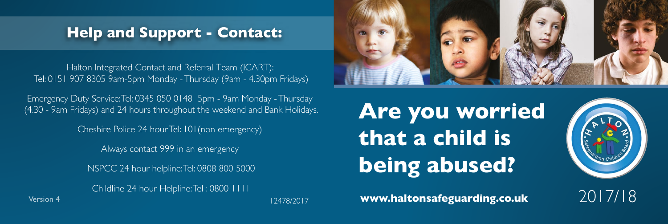## **Help and Support - Contact:**

Halton Integrated Contact and Referral Team (ICART): Tel: 0151 907 8305 9am-5pm Monday -Thursday (9am - 4.30pm Fridays)

Emergency Duty Service:Tel: 0345 050 0148 5pm - 9am Monday -Thursday (4.30 - 9am Fridays) and 24 hours throughout the weekend and Bank Holidays.

Cheshire Police 24 hourTel: 101(non emergency)

Always contact 999 in an emergency

NSPCC 24 hour helpline:Tel: 0808 800 5000

Version 4 **www.haltonsafeguarding.co.uk** 2017/18 Childline 24 hour Helpline:Tel : 0800 1111



**Are you worried that a child is being abused?**



12478/2017